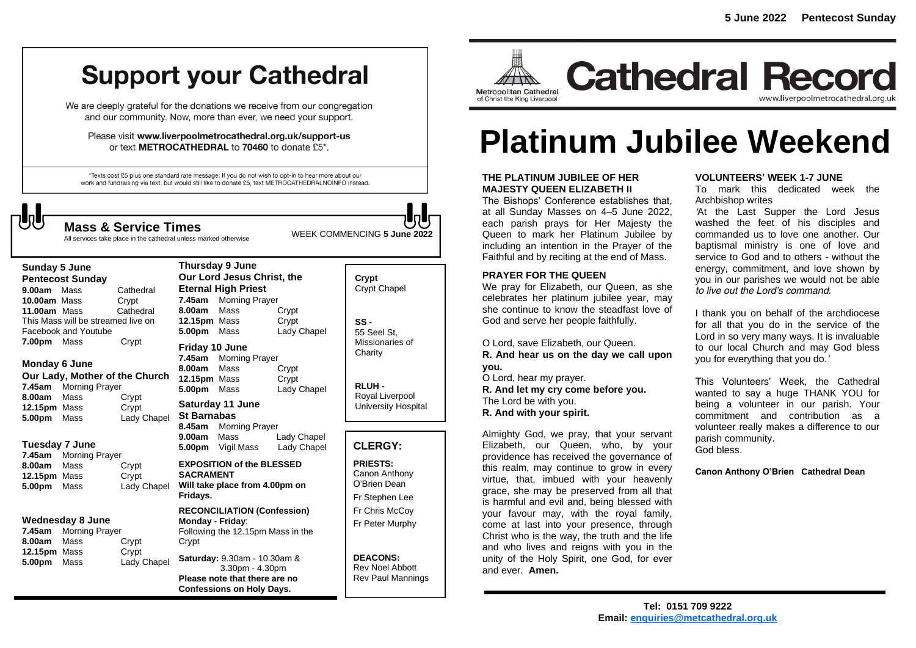# **Support your Cathedral**

We are deeply grateful for the donations we receive from our congregation and our community. Now, more than ever, we need your support.

Please visit www.liverpoolmetrocathedral.org.uk/support-us or text METROCATHEDRAL to 70460 to donate £5\*.

\*Texts cost £5 plus one standard rate message. If you do not wish to opt-in to hear more about our work and fundraising via text, but would still like to donate £5, text METROCATHEDRALNOINFO instead.

WEEK COMMENCING **5 June <sup>2022</sup> Mass & Service Times**

All services take place in the cathedral unless marked otherwise

## **Sunday 5 June**

**Pentecost Sunday 9.00am** MassCathedral **10.00am** Mass Crypt<br>**11.00am** Mass Cathedral **11.00am Mass** This Mass will be streamed live on Facebook and Youtube **7.00pm** Mass Crypt

#### **Monday 6 June**

**Our Lady, Mother of the Church 7.45am** Morning Prayer **8.00am** Mass Crypt **12.15pm** Mass Crypt<br> **5.00pm** Mass Lady Chapel **5.00pm** Mass

#### **Tuesday 7 June**

**7.45am** Morning Prayer **8.00am** Mass Crypt **12.15pm** Mass Crypt **5.00pm** Mass Lady Chapel

#### **Wednesday 8 June**

**7.45am** Morning Prayer **8.00am** Mass Crypt **12.15pm** Mass Crypt **5.00pm** Mass Lady Chapel

|                  | <b>Thursday 9 June</b>                     |                          |             |  |
|------------------|--------------------------------------------|--------------------------|-------------|--|
|                  | Our Lord Jesus Christ, the                 |                          |             |  |
|                  | <b>Eternal High Priest</b>                 |                          |             |  |
|                  | 7.45am                                     | <b>Morning Prayer</b>    |             |  |
|                  | 8.00am Mass                                |                          | Crypt       |  |
|                  | 12.15pm Mass                               |                          | Crypt       |  |
|                  | 5.00pm Mass                                |                          | Lady Chapel |  |
|                  | Friday 10 June                             |                          |             |  |
|                  |                                            | 7.45am Morning Prayer    |             |  |
|                  | 8.00am Mass                                |                          | Crypt       |  |
|                  | 12.15pm Mass                               |                          | Crypt       |  |
|                  | 5.00pm Mass                                |                          | Lady Chapel |  |
|                  | Saturday 11 June                           |                          |             |  |
|                  | <b>St Barnabas</b>                         |                          |             |  |
|                  |                                            | 8.45am Morning Prayer    |             |  |
|                  | 9.00am Mass                                |                          | Lady Chapel |  |
|                  |                                            | <b>5.00pm</b> Vigil Mass | Lady Chapel |  |
|                  | <b>EXPOSITION of the BLESSED</b>           |                          |             |  |
| <b>SACRAMENT</b> |                                            |                          |             |  |
|                  | Will take place from 4.00pm on<br>Fridays. |                          |             |  |
|                  |                                            |                          |             |  |
|                  | <b>RECONCILIATION (Confession)</b>         |                          |             |  |
|                  | Monday - Friday:                           |                          |             |  |
|                  | Following the 12.15pm Mass in the<br>Crypt |                          |             |  |
|                  |                                            |                          |             |  |
|                  | Saturday: 9.30am - 10.30am &               |                          |             |  |
|                  |                                            | 3.30pm - 4.30pm          |             |  |

**Please note that there are no Confessions on Holy Days.**

| Crypt<br><b>Crypt Chapel</b>                      |  |
|---------------------------------------------------|--|
| SS -<br>55 Seel St.<br>Missionaries of<br>Charity |  |

**RLUH -** Royal Liverpool University Hospital

#### **CLERGY:**

**PRIESTS:** Canon Anthony O'Brien *Dean* Fr Stephen Lee Fr Chris McCoy Fr Peter Murphy

**DEACONS:** Rev Noel Abbott Rev Paul Mannings



**Cathedral Record** www.liverpoolmetrocathedral.org.uk

# **Platinum Jubilee Weekend**

#### **THE PLATINUM JUBILEE OF HER MAJESTY QUEEN ELIZABETH II**

The Bishops' Conference establishes that, at all Sunday Masses on 4–5 June 2022, each parish prays for Her Majesty the Queen to mark her Platinum Jubilee by including an intention in the Prayer of the Faithful and by reciting at the end of Mass.

#### **PRAYER FOR THE QUEEN**

We pray for Elizabeth, our Queen, as she celebrates her platinum jubilee year, may she continue to know the steadfast love of God and serve her people faithfully.

O Lord, save Elizabeth, our Queen. *R.* **And hear us on the day we call upon you.**

O Lord, hear my prayer. *R.* **And let my cry come before you.** The Lord be with you. *R.* **And with your spirit.**

Almighty God, we pray, that your servant Elizabeth, our Queen, who, by your providence has received the governance of this realm, may continue to grow in every virtue, that, imbued with your heavenly grace, she may be preserved from all that is harmful and evil and, being blessed with your favour may, with the royal family, come at last into your presence, through Christ who is the way, the truth and the life and who lives and reigns with you in the unity of the Holy Spirit, one God, for ever and ever. **Amen.**

#### **VOLUNTEERS' WEEK 1-7 JUNE**

To mark this dedicated week the Archbishop writes

*'At the Last Supper the Lord Jesus washed the feet of his disciples and commanded us to love one another. Our baptismal ministry is one of love and service to God and to others - without the energy, commitment, and love shown by you in our parishes we would not be able to live out the Lord's command.*

*I thank you on behalf of the archdiocese for all that you do in the service of the Lord in so very many ways. It is invaluable to our local Church and may God bless you for everything that you do.'*

This Volunteers' Week, the Cathedral wanted to say a huge THANK YOU for being a volunteer in our parish. Your commitment and contribution as a volunteer really makes a difference to our parish community. God bless.

**Canon Anthony O'Brien Cathedral Dean**